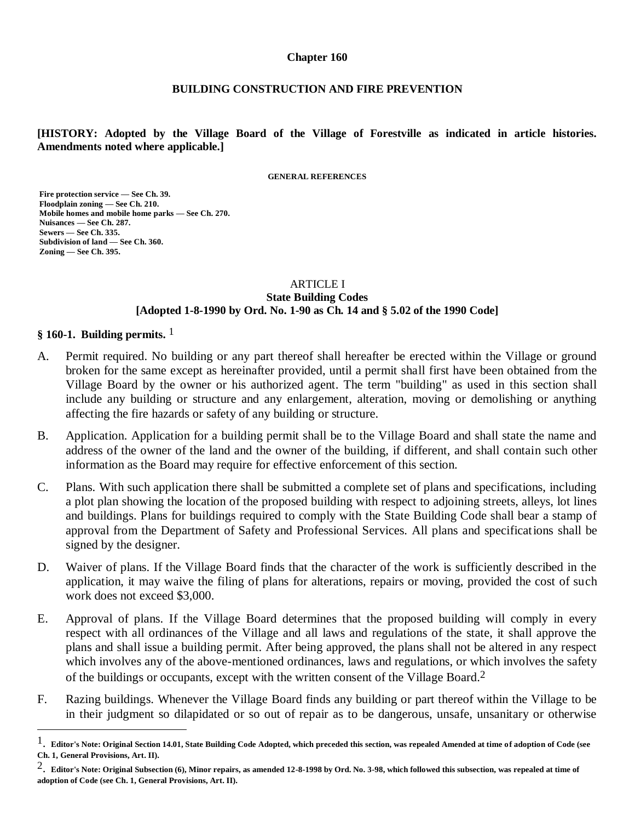#### **Chapter 160**

#### **BUILDING CONSTRUCTION AND FIRE PREVENTION**

**[HISTORY: Adopted by the Village Board of the Village of Forestville as indicated in article histories. Amendments noted where applicable.]**

**GENERAL REFERENCES**

**Fire protection service — See Ch. 39. Floodplain zoning — See Ch. 210. Mobile homes and mobile home parks — See Ch. 270. Nuisances — See Ch. 287. Sewers — See Ch. 335. Subdivision of land — See Ch. 360. Zoning — See Ch. 395.**

#### ARTICLE I **State Building Codes [Adopted 1-8-1990 by Ord. No. 1-90 as Ch. 14 and § 5.02 of the 1990 Code]**

#### **§ 160-1. Building permits.** 1

 $\overline{a}$ 

- A. Permit required. No building or any part thereof shall hereafter be erected within the Village or ground broken for the same except as hereinafter provided, until a permit shall first have been obtained from the Village Board by the owner or his authorized agent. The term "building" as used in this section shall include any building or structure and any enlargement, alteration, moving or demolishing or anything affecting the fire hazards or safety of any building or structure.
- B. Application. Application for a building permit shall be to the Village Board and shall state the name and address of the owner of the land and the owner of the building, if different, and shall contain such other information as the Board may require for effective enforcement of this section.
- C. Plans. With such application there shall be submitted a complete set of plans and specifications, including a plot plan showing the location of the proposed building with respect to adjoining streets, alleys, lot lines and buildings. Plans for buildings required to comply with the State Building Code shall bear a stamp of approval from the Department of Safety and Professional Services. All plans and specifications shall be signed by the designer.
- D. Waiver of plans. If the Village Board finds that the character of the work is sufficiently described in the application, it may waive the filing of plans for alterations, repairs or moving, provided the cost of such work does not exceed \$3,000.
- E. Approval of plans. If the Village Board determines that the proposed building will comply in every respect with all ordinances of the Village and all laws and regulations of the state, it shall approve the plans and shall issue a building permit. After being approved, the plans shall not be altered in any respect which involves any of the above-mentioned ordinances, laws and regulations, or which involves the safety of the buildings or occupants, except with the written consent of the Village Board.2
- F. Razing buildings. Whenever the Village Board finds any building or part thereof within the Village to be in their judgment so dilapidated or so out of repair as to be dangerous, unsafe, unsanitary or otherwise

<sup>1</sup>. **Editor's Note: Original Section 14.01, State Building Code Adopted, which preceded this section, was repealed Amended at time of adoption of Code (see Ch. 1, General Provisions, Art. II).** 

<sup>2</sup>. **Editor's Note: Original Subsection (6), Minor repairs, as amended 12-8-1998 by Ord. No. 3-98, which followed this subsection, was repealed at time of adoption of Code (see Ch. 1, General Provisions, Art. II).**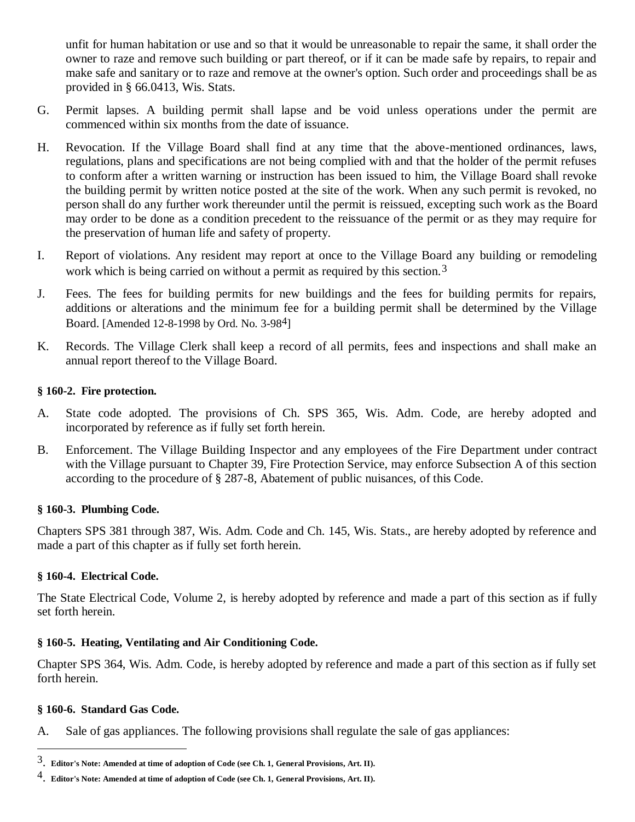unfit for human habitation or use and so that it would be unreasonable to repair the same, it shall order the owner to raze and remove such building or part thereof, or if it can be made safe by repairs, to repair and make safe and sanitary or to raze and remove at the owner's option. Such order and proceedings shall be as provided in § 66.0413, Wis. Stats.

- G. Permit lapses. A building permit shall lapse and be void unless operations under the permit are commenced within six months from the date of issuance.
- H. Revocation. If the Village Board shall find at any time that the above-mentioned ordinances, laws, regulations, plans and specifications are not being complied with and that the holder of the permit refuses to conform after a written warning or instruction has been issued to him, the Village Board shall revoke the building permit by written notice posted at the site of the work. When any such permit is revoked, no person shall do any further work thereunder until the permit is reissued, excepting such work as the Board may order to be done as a condition precedent to the reissuance of the permit or as they may require for the preservation of human life and safety of property.
- I. Report of violations. Any resident may report at once to the Village Board any building or remodeling work which is being carried on without a permit as required by this section.<sup>3</sup>
- J. Fees. The fees for building permits for new buildings and the fees for building permits for repairs, additions or alterations and the minimum fee for a building permit shall be determined by the Village Board. [Amended 12-8-1998 by Ord. No. 3-984]
- K. Records. The Village Clerk shall keep a record of all permits, fees and inspections and shall make an annual report thereof to the Village Board.

# **§ 160-2. Fire protection.**

- A. State code adopted. The provisions of Ch. SPS 365, Wis. Adm. Code, are hereby adopted and incorporated by reference as if fully set forth herein.
- B. Enforcement. The Village Building Inspector and any employees of the Fire Department under contract with the Village pursuant to Chapter 39, Fire Protection Service, may enforce Subsection A of this section according to the procedure of § 287-8, Abatement of public nuisances, of this Code.

# **§ 160-3. Plumbing Code.**

Chapters SPS 381 through 387, Wis. Adm. Code and Ch. 145, Wis. Stats., are hereby adopted by reference and made a part of this chapter as if fully set forth herein.

# **§ 160-4. Electrical Code.**

The State Electrical Code, Volume 2, is hereby adopted by reference and made a part of this section as if fully set forth herein.

# **§ 160-5. Heating, Ventilating and Air Conditioning Code.**

Chapter SPS 364, Wis. Adm. Code, is hereby adopted by reference and made a part of this section as if fully set forth herein.

# **§ 160-6. Standard Gas Code.**

 $\overline{a}$ 

A. Sale of gas appliances. The following provisions shall regulate the sale of gas appliances:

<sup>3</sup>. **Editor's Note: Amended at time of adoption of Code (see Ch. 1, General Provisions, Art. II).** 

<sup>4</sup>. **Editor's Note: Amended at time of adoption of Code (see Ch. 1, General Provisions, Art. II).**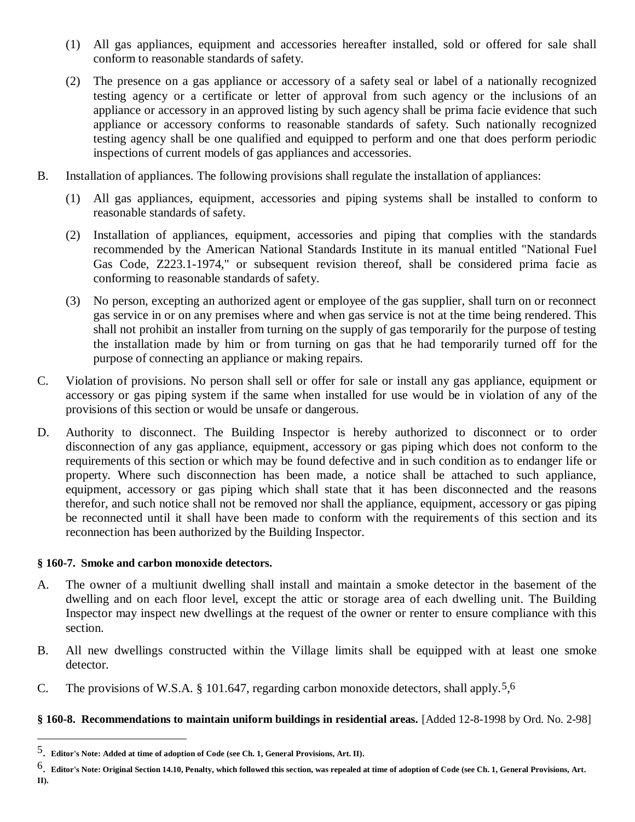- (1) All gas appliances, equipment and accessories hereafter installed, sold or offered for sale shall conform to reasonable standards of safety.
- (2) The presence on a gas appliance or accessory of a safety seal or label of a nationally recognized testing agency or a certificate or letter of approval from such agency or the inclusions of an appliance or accessory in an approved listing by such agency shall be prima facie evidence that such appliance or accessory conforms to reasonable standards of safety. Such nationally recognized testing agency shall be one qualified and equipped to perform and one that does perform periodic inspections of current models of gas appliances and accessories.
- B. Installation of appliances. The following provisions shall regulate the installation of appliances:
	- (1) All gas appliances, equipment, accessories and piping systems shall be installed to conform to reasonable standards of safety.
	- (2) Installation of appliances, equipment, accessories and piping that complies with the standards recommended by the American National Standards Institute in its manual entitled "National Fuel Gas Code, Z223.1-1974," or subsequent revision thereof, shall be considered prima facie as conforming to reasonable standards of safety.
	- (3) No person, excepting an authorized agent or employee of the gas supplier, shall turn on or reconnect gas service in or on any premises where and when gas service is not at the time being rendered. This shall not prohibit an installer from turning on the supply of gas temporarily for the purpose of testing the installation made by him or from turning on gas that he had temporarily turned off for the purpose of connecting an appliance or making repairs.
- C. Violation of provisions. No person shall sell or offer for sale or install any gas appliance, equipment or accessory or gas piping system if the same when installed for use would be in violation of any of the provisions of this section or would be unsafe or dangerous.
- D. Authority to disconnect. The Building Inspector is hereby authorized to disconnect or to order disconnection of any gas appliance, equipment, accessory or gas piping which does not conform to the requirements of this section or which may be found defective and in such condition as to endanger life or property. Where such disconnection has been made, a notice shall be attached to such appliance, equipment, accessory or gas piping which shall state that it has been disconnected and the reasons therefor, and such notice shall not be removed nor shall the appliance, equipment, accessory or gas piping be reconnected until it shall have been made to conform with the requirements of this section and its reconnection has been authorized by the Building Inspector.

# **§ 160-7. Smoke and carbon monoxide detectors.**

 $\overline{a}$ 

- A. The owner of a multiunit dwelling shall install and maintain a smoke detector in the basement of the dwelling and on each floor level, except the attic or storage area of each dwelling unit. The Building Inspector may inspect new dwellings at the request of the owner or renter to ensure compliance with this section.
- B. All new dwellings constructed within the Village limits shall be equipped with at least one smoke detector.
- C. The provisions of W.S.A. § 101.647, regarding carbon monoxide detectors, shall apply.<sup>5</sup>,<sup>6</sup>

# **§ 160-8. Recommendations to maintain uniform buildings in residential areas.** [Added 12-8-1998 by Ord. No. 2-98]

<sup>5</sup>. **Editor's Note: Added at time of adoption of Code (see Ch. 1, General Provisions, Art. II).** 

<sup>6</sup>. **Editor's Note: Original Section 14.10, Penalty, which followed this section, was repealed at time of adoption of Code (see Ch. 1, General Provisions, Art. II).**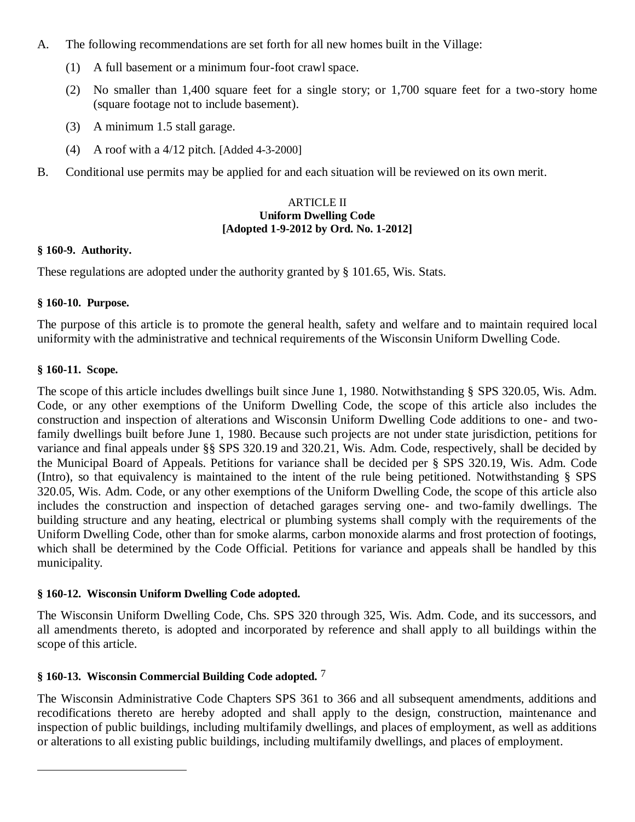- A. The following recommendations are set forth for all new homes built in the Village:
	- (1) A full basement or a minimum four-foot crawl space.
	- (2) No smaller than 1,400 square feet for a single story; or 1,700 square feet for a two-story home (square footage not to include basement).
	- (3) A minimum 1.5 stall garage.
	- (4) A roof with a 4/12 pitch. [Added 4-3-2000]
- B. Conditional use permits may be applied for and each situation will be reviewed on its own merit.

#### ARTICLE II **Uniform Dwelling Code [Adopted 1-9-2012 by Ord. No. 1-2012]**

### **§ 160-9. Authority.**

These regulations are adopted under the authority granted by § 101.65, Wis. Stats.

# **§ 160-10. Purpose.**

The purpose of this article is to promote the general health, safety and welfare and to maintain required local uniformity with the administrative and technical requirements of the Wisconsin Uniform Dwelling Code.

# **§ 160-11. Scope.**

 $\overline{a}$ 

The scope of this article includes dwellings built since June 1, 1980. Notwithstanding § SPS 320.05, Wis. Adm. Code, or any other exemptions of the Uniform Dwelling Code, the scope of this article also includes the construction and inspection of alterations and Wisconsin Uniform Dwelling Code additions to one- and twofamily dwellings built before June 1, 1980. Because such projects are not under state jurisdiction, petitions for variance and final appeals under §§ SPS 320.19 and 320.21, Wis. Adm. Code, respectively, shall be decided by the Municipal Board of Appeals. Petitions for variance shall be decided per § SPS 320.19, Wis. Adm. Code (Intro), so that equivalency is maintained to the intent of the rule being petitioned. Notwithstanding § SPS 320.05, Wis. Adm. Code, or any other exemptions of the Uniform Dwelling Code, the scope of this article also includes the construction and inspection of detached garages serving one- and two-family dwellings. The building structure and any heating, electrical or plumbing systems shall comply with the requirements of the Uniform Dwelling Code, other than for smoke alarms, carbon monoxide alarms and frost protection of footings, which shall be determined by the Code Official. Petitions for variance and appeals shall be handled by this municipality.

# **§ 160-12. Wisconsin Uniform Dwelling Code adopted.**

The Wisconsin Uniform Dwelling Code, Chs. SPS 320 through 325, Wis. Adm. Code, and its successors, and all amendments thereto, is adopted and incorporated by reference and shall apply to all buildings within the scope of this article.

# **§ 160-13. Wisconsin Commercial Building Code adopted.** 7

The Wisconsin Administrative Code Chapters SPS 361 to 366 and all subsequent amendments, additions and recodifications thereto are hereby adopted and shall apply to the design, construction, maintenance and inspection of public buildings, including multifamily dwellings, and places of employment, as well as additions or alterations to all existing public buildings, including multifamily dwellings, and places of employment.